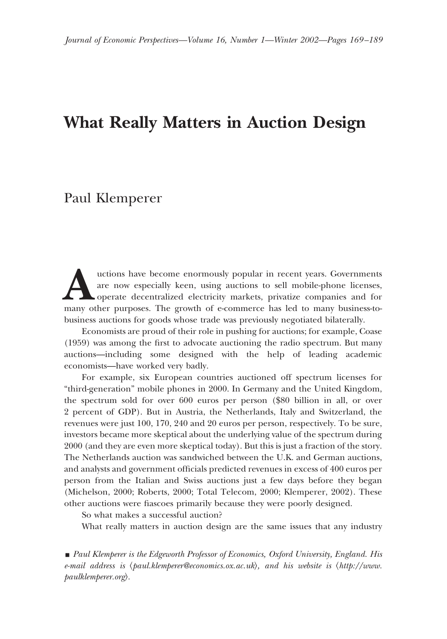# **What Really Matters in Auction Design**

# Paul Klemperer

**A**uctions have become enormously popular in recent years. Governments are now especially keen, using auctions to sell mobile-phone licenses, operate decentralized electricity markets, privatize companies and for many other purposes. The growth of e-commerce has led to many business-tobusiness auctions for goods whose trade was previously negotiated bilaterally.

Economists are proud of their role in pushing for auctions; for example, Coase (1959) was among the first to advocate auctioning the radio spectrum. But many auctions—including some designed with the help of leading academic economists—have worked very badly.

For example, six European countries auctioned off spectrum licenses for "third-generation" mobile phones in 2000. In Germany and the United Kingdom, the spectrum sold for over 600 euros per person (\$80 billion in all, or over 2 percent of GDP). But in Austria, the Netherlands, Italy and Switzerland, the revenues were just 100, 170, 240 and 20 euros per person, respectively. To be sure, investors became more skeptical about the underlying value of the spectrum during 2000 (and they are even more skeptical today). But this is just a fraction of the story. The Netherlands auction was sandwiched between the U.K. and German auctions, and analysts and government officials predicted revenues in excess of 400 euros per person from the Italian and Swiss auctions just a few days before they began (Michelson, 2000; Roberts, 2000; Total Telecom, 2000; Klemperer, 2002). These other auctions were fiascoes primarily because they were poorly designed.

So what makes a successful auction?

What really matters in auction design are the same issues that any industry

**Paul Klemperer is the Edgeworth Professor of Economics, Oxford University, England. His** *e-mail address is paul.klemperer@economics.ox.ac.uk*-*, and his website is http://www.* paulklemperer.org).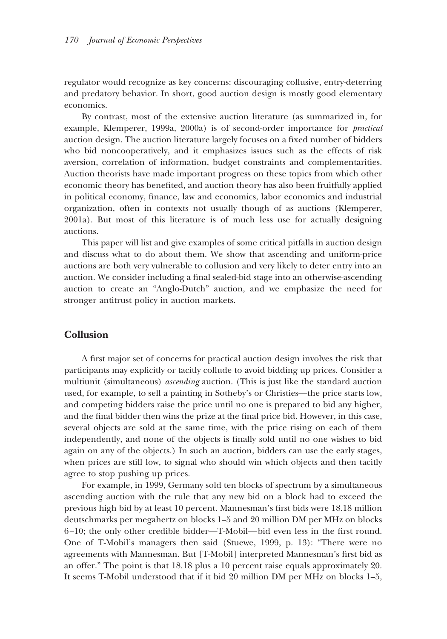regulator would recognize as key concerns: discouraging collusive, entry-deterring and predatory behavior. In short, good auction design is mostly good elementary economics.

By contrast, most of the extensive auction literature (as summarized in, for example, Klemperer, 1999a, 2000a) is of second-order importance for *practical* auction design. The auction literature largely focuses on a fixed number of bidders who bid noncooperatively, and it emphasizes issues such as the effects of risk aversion, correlation of information, budget constraints and complementarities. Auction theorists have made important progress on these topics from which other economic theory has benefited, and auction theory has also been fruitfully applied in political economy, finance, law and economics, labor economics and industrial organization, often in contexts not usually though of as auctions (Klemperer, 2001a). But most of this literature is of much less use for actually designing auctions.

This paper will list and give examples of some critical pitfalls in auction design and discuss what to do about them. We show that ascending and uniform-price auctions are both very vulnerable to collusion and very likely to deter entry into an auction. We consider including a final sealed-bid stage into an otherwise-ascending auction to create an "Anglo-Dutch" auction, and we emphasize the need for stronger antitrust policy in auction markets.

# **Collusion**

A first major set of concerns for practical auction design involves the risk that participants may explicitly or tacitly collude to avoid bidding up prices. Consider a multiunit (simultaneous) *ascending* auction. (This is just like the standard auction used, for example, to sell a painting in Sotheby's or Christies—the price starts low, and competing bidders raise the price until no one is prepared to bid any higher, and the final bidder then wins the prize at the final price bid. However, in this case, several objects are sold at the same time, with the price rising on each of them independently, and none of the objects is finally sold until no one wishes to bid again on any of the objects.) In such an auction, bidders can use the early stages, when prices are still low, to signal who should win which objects and then tacitly agree to stop pushing up prices.

For example, in 1999, Germany sold ten blocks of spectrum by a simultaneous ascending auction with the rule that any new bid on a block had to exceed the previous high bid by at least 10 percent. Mannesman's first bids were 18.18 million deutschmarks per megahertz on blocks 1–5 and 20 million DM per MHz on blocks 6–10; the only other credible bidder—T-Mobil—bid even less in the first round. One of T-Mobil's managers then said (Stuewe, 1999, p. 13): "There were no agreements with Mannesman. But [T-Mobil] interpreted Mannesman's first bid as an offer." The point is that 18.18 plus a 10 percent raise equals approximately 20. It seems T-Mobil understood that if it bid 20 million DM per MHz on blocks 1–5,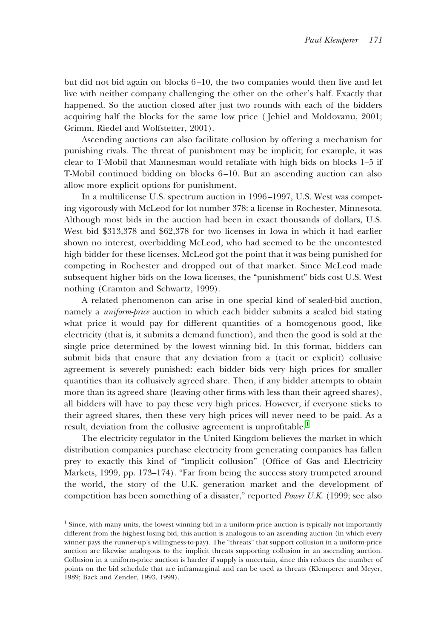but did not bid again on blocks 6–10, the two companies would then live and let live with neither company challenging the other on the other's half. Exactly that happened. So the auction closed after just two rounds with each of the bidders acquiring half the blocks for the same low price ( Jehiel and Moldovanu, 2001; Grimm, Riedel and Wolfstetter, 2001).

Ascending auctions can also facilitate collusion by offering a mechanism for punishing rivals. The threat of punishment may be implicit; for example, it was clear to T-Mobil that Mannesman would retaliate with high bids on blocks 1–5 if T-Mobil continued bidding on blocks 6–10. But an ascending auction can also allow more explicit options for punishment.

In a multilicense U.S. spectrum auction in 1996–1997, U.S. West was competing vigorously with McLeod for lot number 378: a license in Rochester, Minnesota. Although most bids in the auction had been in exact thousands of dollars, U.S. West bid \$313,378 and \$62,378 for two licenses in Iowa in which it had earlier shown no interest, overbidding McLeod, who had seemed to be the uncontested high bidder for these licenses. McLeod got the point that it was being punished for competing in Rochester and dropped out of that market. Since McLeod made subsequent higher bids on the Iowa licenses, the "punishment" bids cost U.S. West nothing (Cramton and Schwartz, 1999).

A related phenomenon can arise in one special kind of sealed-bid auction, namely a *uniform-price* auction in which each bidder submits a sealed bid stating what price it would pay for different quantities of a homogenous good, like electricity (that is, it submits a demand function), and then the good is sold at the single price determined by the lowest winning bid. In this format, bidders can submit bids that ensure that any deviation from a (tacit or explicit) collusive agreement is severely punished: each bidder bids very high prices for smaller quantities than its collusively agreed share. Then, if any bidder attempts to obtain more than its agreed share (leaving other firms with less than their agreed shares), all bidders will have to pay these very high prices. However, if everyone sticks to their agreed shares, then these very high prices will never need to be paid. As a result, deviation from the collusive agreement is unprofitable.<sup>1</sup>

The electricity regulator in the United Kingdom believes the market in which distribution companies purchase electricity from generating companies has fallen prey to exactly this kind of "implicit collusion" (Office of Gas and Electricity Markets, 1999, pp. 173–174). "Far from being the success story trumpeted around the world, the story of the U.K. generation market and the development of competition has been something of a disaster," reported *Power U.K*. (1999; see also

<sup>&</sup>lt;sup>1</sup> Since, with many units, the lowest winning bid in a uniform-price auction is typically not importantly different from the highest losing bid, this auction is analogous to an ascending auction (in which every winner pays the runner-up's willingness-to-pay). The "threats" that support collusion in a uniform-price auction are likewise analogous to the implicit threats supporting collusion in an ascending auction. Collusion in a uniform-price auction is harder if supply is uncertain, since this reduces the number of points on the bid schedule that are inframarginal and can be used as threats (Klemperer and Meyer, 1989; Back and Zender, 1993, 1999).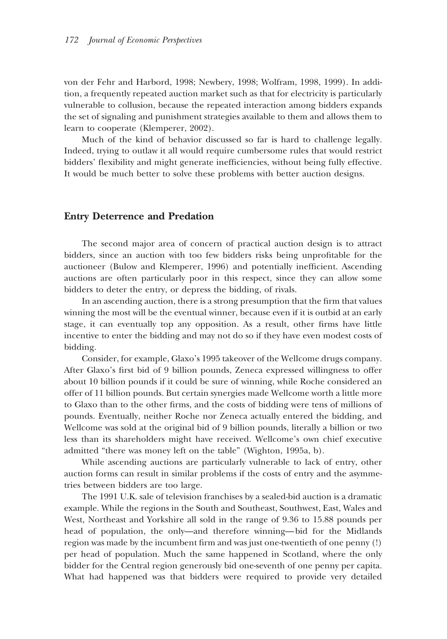von der Fehr and Harbord, 1998; Newbery, 1998; Wolfram, 1998, 1999). In addition, a frequently repeated auction market such as that for electricity is particularly vulnerable to collusion, because the repeated interaction among bidders expands the set of signaling and punishment strategies available to them and allows them to learn to cooperate (Klemperer, 2002).

Much of the kind of behavior discussed so far is hard to challenge legally. Indeed, trying to outlaw it all would require cumbersome rules that would restrict bidders' flexibility and might generate inefficiencies, without being fully effective. It would be much better to solve these problems with better auction designs.

# **Entry Deterrence and Predation**

The second major area of concern of practical auction design is to attract bidders, since an auction with too few bidders risks being unprofitable for the auctioneer (Bulow and Klemperer, 1996) and potentially inefficient. Ascending auctions are often particularly poor in this respect, since they can allow some bidders to deter the entry, or depress the bidding, of rivals.

In an ascending auction, there is a strong presumption that the firm that values winning the most will be the eventual winner, because even if it is outbid at an early stage, it can eventually top any opposition. As a result, other firms have little incentive to enter the bidding and may not do so if they have even modest costs of bidding.

Consider, for example, Glaxo's 1995 takeover of the Wellcome drugs company. After Glaxo's first bid of 9 billion pounds, Zeneca expressed willingness to offer about 10 billion pounds if it could be sure of winning, while Roche considered an offer of 11 billion pounds. But certain synergies made Wellcome worth a little more to Glaxo than to the other firms, and the costs of bidding were tens of millions of pounds. Eventually, neither Roche nor Zeneca actually entered the bidding, and Wellcome was sold at the original bid of 9 billion pounds, literally a billion or two less than its shareholders might have received. Wellcome's own chief executive admitted "there was money left on the table" (Wighton, 1995a, b).

While ascending auctions are particularly vulnerable to lack of entry, other auction forms can result in similar problems if the costs of entry and the asymmetries between bidders are too large.

The 1991 U.K. sale of television franchises by a sealed-bid auction is a dramatic example. While the regions in the South and Southeast, Southwest, East, Wales and West, Northeast and Yorkshire all sold in the range of 9.36 to 15.88 pounds per head of population, the only—and therefore winning—bid for the Midlands region was made by the incumbent firm and was just one-twentieth of one penny (!) per head of population. Much the same happened in Scotland, where the only bidder for the Central region generously bid one-seventh of one penny per capita. What had happened was that bidders were required to provide very detailed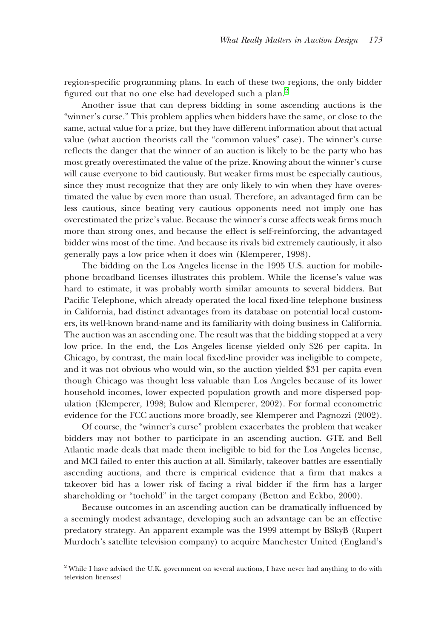region-specific programming plans. In each of these two regions, the only bidder figured out that no one else had developed such a plan. $^{2}$ 

Another issue that can depress bidding in some ascending auctions is the "winner's curse." This problem applies when bidders have the same, or close to the same, actual value for a prize, but they have different information about that actual value (what auction theorists call the "common values" case). The winner's curse reflects the danger that the winner of an auction is likely to be the party who has most greatly overestimated the value of the prize. Knowing about the winner's curse will cause everyone to bid cautiously. But weaker firms must be especially cautious, since they must recognize that they are only likely to win when they have overestimated the value by even more than usual. Therefore, an advantaged firm can be less cautious, since beating very cautious opponents need not imply one has overestimated the prize's value. Because the winner's curse affects weak firms much more than strong ones, and because the effect is self-reinforcing, the advantaged bidder wins most of the time. And because its rivals bid extremely cautiously, it also generally pays a low price when it does win (Klemperer, 1998).

The bidding on the Los Angeles license in the 1995 U.S. auction for mobilephone broadband licenses illustrates this problem. While the license's value was hard to estimate, it was probably worth similar amounts to several bidders. But Pacific Telephone, which already operated the local fixed-line telephone business in California, had distinct advantages from its database on potential local customers, its well-known brand-name and its familiarity with doing business in California. The auction was an ascending one. The result was that the bidding stopped at a very low price. In the end, the Los Angeles license yielded only \$26 per capita. In Chicago, by contrast, the main local fixed-line provider was ineligible to compete, and it was not obvious who would win, so the auction yielded \$31 per capita even though Chicago was thought less valuable than Los Angeles because of its lower household incomes, lower expected population growth and more dispersed population (Klemperer, 1998; Bulow and Klemperer, 2002). For formal econometric evidence for the FCC auctions more broadly, see Klemperer and Pagnozzi (2002).

Of course, the "winner's curse" problem exacerbates the problem that weaker bidders may not bother to participate in an ascending auction. GTE and Bell Atlantic made deals that made them ineligible to bid for the Los Angeles license, and MCI failed to enter this auction at all. Similarly, takeover battles are essentially ascending auctions, and there is empirical evidence that a firm that makes a takeover bid has a lower risk of facing a rival bidder if the firm has a larger shareholding or "toehold" in the target company (Betton and Eckbo, 2000).

Because outcomes in an ascending auction can be dramatically influenced by a seemingly modest advantage, developing such an advantage can be an effective predatory strategy. An apparent example was the 1999 attempt by BSkyB (Rupert Murdoch's satellite television company) to acquire Manchester United (England's

<sup>2</sup> While I have advised the U.K. government on several auctions, I have never had anything to do with television licenses!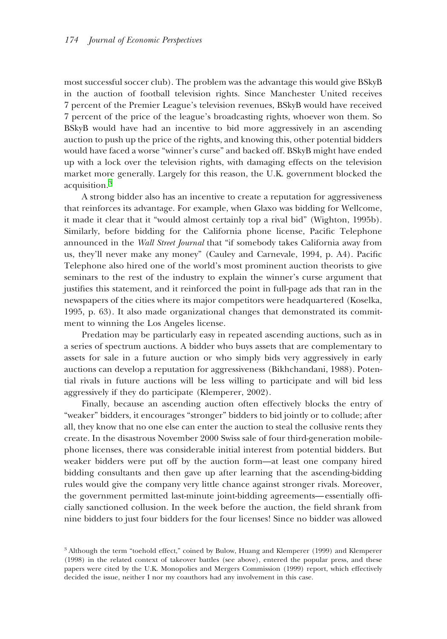most successful soccer club). The problem was the advantage this would give BSkyB in the auction of football television rights. Since Manchester United receives 7 percent of the Premier League's television revenues, BSkyB would have received 7 percent of the price of the league's broadcasting rights, whoever won them. So BSkyB would have had an incentive to bid more aggressively in an ascending auction to push up the price of the rights, and knowing this, other potential bidders would have faced a worse "winner's curse" and backed off. BSkyB might have ended up with a lock over the television rights, with damaging effects on the television market more generally. Largely for this reason, the U.K. government blocked the acquisition.<sup>3</sup>

A strong bidder also has an incentive to create a reputation for aggressiveness that reinforces its advantage. For example, when Glaxo was bidding for Wellcome, it made it clear that it "would almost certainly top a rival bid" (Wighton, 1995b). Similarly, before bidding for the California phone license, Pacific Telephone announced in the *Wall Street Journal* that "if somebody takes California away from us, they'll never make any money" (Cauley and Carnevale, 1994, p. A4). Pacific Telephone also hired one of the world's most prominent auction theorists to give seminars to the rest of the industry to explain the winner's curse argument that justifies this statement, and it reinforced the point in full-page ads that ran in the newspapers of the cities where its major competitors were headquartered (Koselka, 1995, p. 63). It also made organizational changes that demonstrated its commitment to winning the Los Angeles license.

Predation may be particularly easy in repeated ascending auctions, such as in a series of spectrum auctions. A bidder who buys assets that are complementary to assets for sale in a future auction or who simply bids very aggressively in early auctions can develop a reputation for aggressiveness (Bikhchandani, 1988). Potential rivals in future auctions will be less willing to participate and will bid less aggressively if they do participate (Klemperer, 2002).

Finally, because an ascending auction often effectively blocks the entry of "weaker" bidders, it encourages "stronger" bidders to bid jointly or to collude; after all, they know that no one else can enter the auction to steal the collusive rents they create. In the disastrous November 2000 Swiss sale of four third-generation mobilephone licenses, there was considerable initial interest from potential bidders. But weaker bidders were put off by the auction form—at least one company hired bidding consultants and then gave up after learning that the ascending-bidding rules would give the company very little chance against stronger rivals. Moreover, the government permitted last-minute joint-bidding agreements—essentially officially sanctioned collusion. In the week before the auction, the field shrank from nine bidders to just four bidders for the four licenses! Since no bidder was allowed

<sup>3</sup> Although the term "toehold effect," coined by Bulow, Huang and Klemperer (1999) and Klemperer (1998) in the related context of takeover battles (see above), entered the popular press, and these papers were cited by the U.K. Monopolies and Mergers Commission (1999) report, which effectively decided the issue, neither I nor my coauthors had any involvement in this case.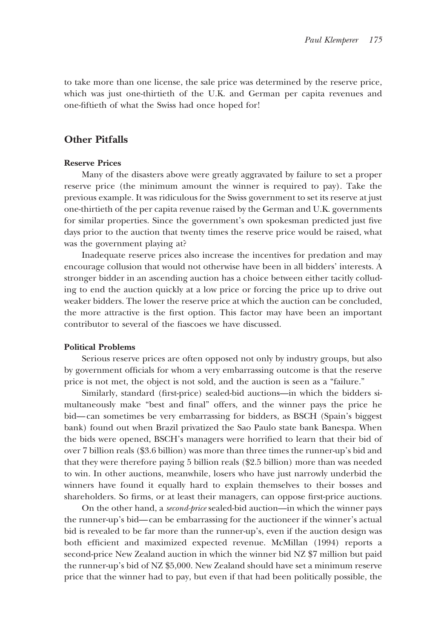to take more than one license, the sale price was determined by the reserve price, which was just one-thirtieth of the U.K. and German per capita revenues and one-fiftieth of what the Swiss had once hoped for!

# **Other Pitfalls**

#### **Reserve Prices**

Many of the disasters above were greatly aggravated by failure to set a proper reserve price (the minimum amount the winner is required to pay). Take the previous example. It was ridiculous for the Swiss government to set its reserve at just one-thirtieth of the per capita revenue raised by the German and U.K. governments for similar properties. Since the government's own spokesman predicted just five days prior to the auction that twenty times the reserve price would be raised, what was the government playing at?

Inadequate reserve prices also increase the incentives for predation and may encourage collusion that would not otherwise have been in all bidders' interests. A stronger bidder in an ascending auction has a choice between either tacitly colluding to end the auction quickly at a low price or forcing the price up to drive out weaker bidders. The lower the reserve price at which the auction can be concluded, the more attractive is the first option. This factor may have been an important contributor to several of the fiascoes we have discussed.

#### **Political Problems**

Serious reserve prices are often opposed not only by industry groups, but also by government officials for whom a very embarrassing outcome is that the reserve price is not met, the object is not sold, and the auction is seen as a "failure."

Similarly, standard (first-price) sealed-bid auctions—in which the bidders simultaneously make "best and final" offers, and the winner pays the price he bid—can sometimes be very embarrassing for bidders, as BSCH (Spain's biggest bank) found out when Brazil privatized the Sao Paulo state bank Banespa. When the bids were opened, BSCH's managers were horrified to learn that their bid of over 7 billion reals (\$3.6 billion) was more than three times the runner-up's bid and that they were therefore paying 5 billion reals (\$2.5 billion) more than was needed to win. In other auctions, meanwhile, losers who have just narrowly underbid the winners have found it equally hard to explain themselves to their bosses and shareholders. So firms, or at least their managers, can oppose first-price auctions.

On the other hand, a *second-price* sealed-bid auction—in which the winner pays the runner-up's bid—can be embarrassing for the auctioneer if the winner's actual bid is revealed to be far more than the runner-up's, even if the auction design was both efficient and maximized expected revenue. McMillan (1994) reports a second-price New Zealand auction in which the winner bid NZ \$7 million but paid the runner-up's bid of NZ \$5,000. New Zealand should have set a minimum reserve price that the winner had to pay, but even if that had been politically possible, the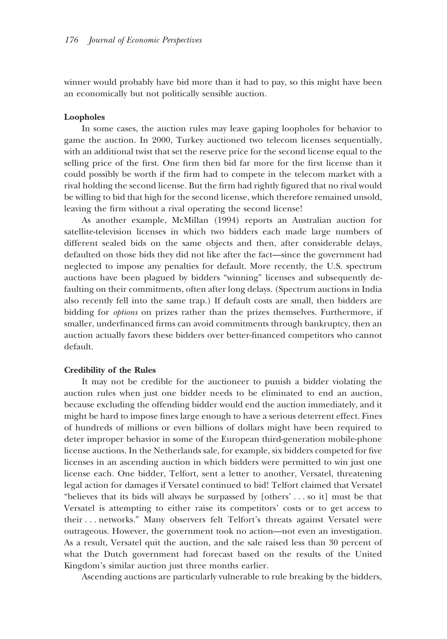winner would probably have bid more than it had to pay, so this might have been an economically but not politically sensible auction.

#### **Loopholes**

In some cases, the auction rules may leave gaping loopholes for behavior to game the auction. In 2000, Turkey auctioned two telecom licenses sequentially, with an additional twist that set the reserve price for the second license equal to the selling price of the first. One firm then bid far more for the first license than it could possibly be worth if the firm had to compete in the telecom market with a rival holding the second license. But the firm had rightly figured that no rival would be willing to bid that high for the second license, which therefore remained unsold, leaving the firm without a rival operating the second license!

As another example, McMillan (1994) reports an Australian auction for satellite-television licenses in which two bidders each made large numbers of different sealed bids on the same objects and then, after considerable delays, defaulted on those bids they did not like after the fact—since the government had neglected to impose any penalties for default. More recently, the U.S. spectrum auctions have been plagued by bidders "winning" licenses and subsequently defaulting on their commitments, often after long delays. (Spectrum auctions in India also recently fell into the same trap.) If default costs are small, then bidders are bidding for *options* on prizes rather than the prizes themselves. Furthermore, if smaller, underfinanced firms can avoid commitments through bankruptcy, then an auction actually favors these bidders over better-financed competitors who cannot default.

#### **Credibility of the Rules**

It may not be credible for the auctioneer to punish a bidder violating the auction rules when just one bidder needs to be eliminated to end an auction, because excluding the offending bidder would end the auction immediately, and it might be hard to impose fines large enough to have a serious deterrent effect. Fines of hundreds of millions or even billions of dollars might have been required to deter improper behavior in some of the European third-generation mobile-phone license auctions. In the Netherlands sale, for example, six bidders competed for five licenses in an ascending auction in which bidders were permitted to win just one license each. One bidder, Telfort, sent a letter to another, Versatel, threatening legal action for damages if Versatel continued to bid! Telfort claimed that Versatel "believes that its bids will always be surpassed by [others' . . . so it] must be that Versatel is attempting to either raise its competitors' costs or to get access to their... networks." Many observers felt Telfort's threats against Versatel were outrageous. However, the government took no action—not even an investigation. As a result, Versatel quit the auction, and the sale raised less than 30 percent of what the Dutch government had forecast based on the results of the United Kingdom's similar auction just three months earlier.

Ascending auctions are particularly vulnerable to rule breaking by the bidders,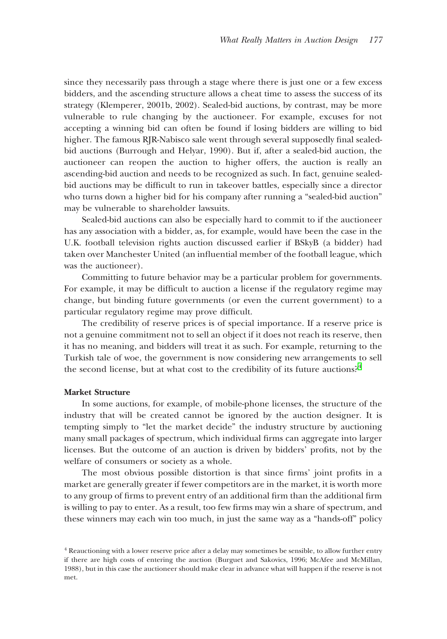since they necessarily pass through a stage where there is just one or a few excess bidders, and the ascending structure allows a cheat time to assess the success of its strategy (Klemperer, 2001b, 2002). Sealed-bid auctions, by contrast, may be more vulnerable to rule changing by the auctioneer. For example, excuses for not accepting a winning bid can often be found if losing bidders are willing to bid higher. The famous RJR-Nabisco sale went through several supposedly final sealedbid auctions (Burrough and Helyar, 1990). But if, after a sealed-bid auction, the auctioneer can reopen the auction to higher offers, the auction is really an ascending-bid auction and needs to be recognized as such. In fact, genuine sealedbid auctions may be difficult to run in takeover battles, especially since a director who turns down a higher bid for his company after running a "sealed-bid auction" may be vulnerable to shareholder lawsuits.

Sealed-bid auctions can also be especially hard to commit to if the auctioneer has any association with a bidder, as, for example, would have been the case in the U.K. football television rights auction discussed earlier if BSkyB (a bidder) had taken over Manchester United (an influential member of the football league, which was the auctioneer).

Committing to future behavior may be a particular problem for governments. For example, it may be difficult to auction a license if the regulatory regime may change, but binding future governments (or even the current government) to a particular regulatory regime may prove difficult.

The credibility of reserve prices is of special importance. If a reserve price is not a genuine commitment not to sell an object if it does not reach its reserve, then it has no meaning, and bidders will treat it as such. For example, returning to the Turkish tale of woe, the government is now considering new arrangements to sell the second license, but at what cost to the credibility of its future auctions?<sup>4</sup>

#### **Market Structure**

In some auctions, for example, of mobile-phone licenses, the structure of the industry that will be created cannot be ignored by the auction designer. It is tempting simply to "let the market decide" the industry structure by auctioning many small packages of spectrum, which individual firms can aggregate into larger licenses. But the outcome of an auction is driven by bidders' profits, not by the welfare of consumers or society as a whole.

The most obvious possible distortion is that since firms' joint profits in a market are generally greater if fewer competitors are in the market, it is worth more to any group of firms to prevent entry of an additional firm than the additional firm is willing to pay to enter. As a result, too few firms may win a share of spectrum, and these winners may each win too much, in just the same way as a "hands-off" policy

<sup>&</sup>lt;sup>4</sup> Reauctioning with a lower reserve price after a delay may sometimes be sensible, to allow further entry if there are high costs of entering the auction (Burguet and Sakovics, 1996; McAfee and McMillan, 1988), but in this case the auctioneer should make clear in advance what will happen if the reserve is not met.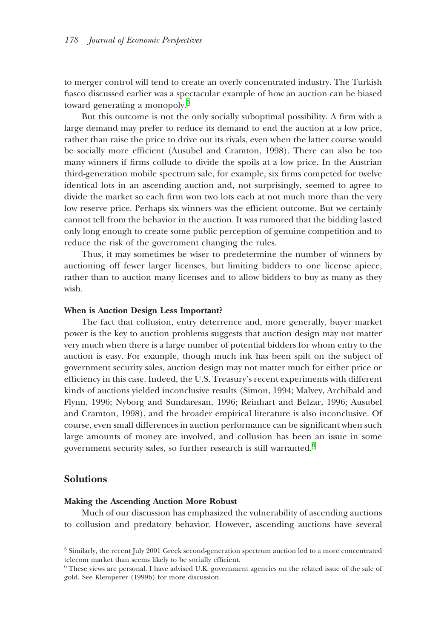to merger control will tend to create an overly concentrated industry. The Turkish fiasco discussed earlier was a spectacular example of how an auction can be biased toward generating a monopoly.<sup>5</sup>

But this outcome is not the only socially suboptimal possibility. A firm with a large demand may prefer to reduce its demand to end the auction at a low price, rather than raise the price to drive out its rivals, even when the latter course would be socially more efficient (Ausubel and Cramton, 1998). There can also be too many winners if firms collude to divide the spoils at a low price. In the Austrian third-generation mobile spectrum sale, for example, six firms competed for twelve identical lots in an ascending auction and, not surprisingly, seemed to agree to divide the market so each firm won two lots each at not much more than the very low reserve price. Perhaps six winners was the efficient outcome. But we certainly cannot tell from the behavior in the auction. It was rumored that the bidding lasted only long enough to create some public perception of genuine competition and to reduce the risk of the government changing the rules.

Thus, it may sometimes be wiser to predetermine the number of winners by auctioning off fewer larger licenses, but limiting bidders to one license apiece, rather than to auction many licenses and to allow bidders to buy as many as they wish.

#### **When is Auction Design Less Important?**

The fact that collusion, entry deterrence and, more generally, buyer market power is the key to auction problems suggests that auction design may not matter very much when there is a large number of potential bidders for whom entry to the auction is easy. For example, though much ink has been spilt on the subject of government security sales, auction design may not matter much for either price or efficiency in this case. Indeed, the U.S. Treasury's recent experiments with different kinds of auctions yielded inconclusive results (Simon, 1994; Malvey, Archibald and Flynn, 1996; Nyborg and Sundaresan, 1996; Reinhart and Belzar, 1996; Ausubel and Cramton, 1998), and the broader empirical literature is also inconclusive. Of course, even small differences in auction performance can be significant when such large amounts of money are involved, and collusion has been an issue in some government security sales, so further research is still warranted.<sup>6</sup>

### **Solutions**

#### **Making the Ascending Auction More Robust**

Much of our discussion has emphasized the vulnerability of ascending auctions to collusion and predatory behavior. However, ascending auctions have several

<sup>&</sup>lt;sup>5</sup> Similarly, the recent July 2001 Greek second-generation spectrum auction led to a more concentrated telecom market than seems likely to be socially efficient.

 $6$  These views are personal. I have advised U.K. government agencies on the related issue of the sale of gold. See Klemperer (1999b) for more discussion.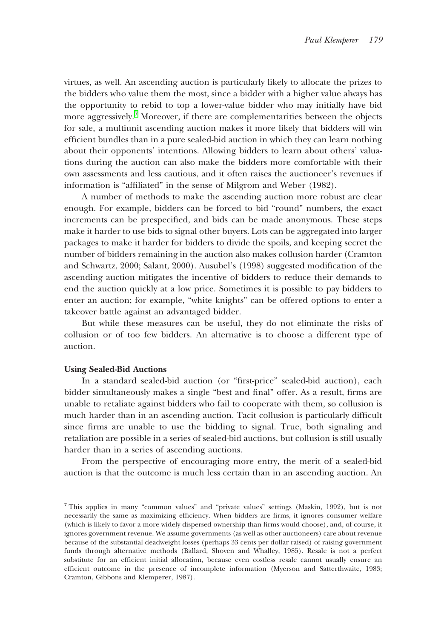virtues, as well. An ascending auction is particularly likely to allocate the prizes to the bidders who value them the most, since a bidder with a higher value always has the opportunity to rebid to top a lower-value bidder who may initially have bid more aggressively.<sup>7</sup> Moreover, if there are complementarities between the objects for sale, a multiunit ascending auction makes it more likely that bidders will win efficient bundles than in a pure sealed-bid auction in which they can learn nothing about their opponents' intentions. Allowing bidders to learn about others' valuations during the auction can also make the bidders more comfortable with their own assessments and less cautious, and it often raises the auctioneer's revenues if information is "affiliated" in the sense of Milgrom and Weber (1982).

A number of methods to make the ascending auction more robust are clear enough. For example, bidders can be forced to bid "round" numbers, the exact increments can be prespecified, and bids can be made anonymous. These steps make it harder to use bids to signal other buyers. Lots can be aggregated into larger packages to make it harder for bidders to divide the spoils, and keeping secret the number of bidders remaining in the auction also makes collusion harder (Cramton and Schwartz, 2000; Salant, 2000). Ausubel's (1998) suggested modification of the ascending auction mitigates the incentive of bidders to reduce their demands to end the auction quickly at a low price. Sometimes it is possible to pay bidders to enter an auction; for example, "white knights" can be offered options to enter a takeover battle against an advantaged bidder.

But while these measures can be useful, they do not eliminate the risks of collusion or of too few bidders. An alternative is to choose a different type of auction.

#### **Using Sealed-Bid Auctions**

In a standard sealed-bid auction (or "first-price" sealed-bid auction), each bidder simultaneously makes a single "best and final" offer. As a result, firms are unable to retaliate against bidders who fail to cooperate with them, so collusion is much harder than in an ascending auction. Tacit collusion is particularly difficult since firms are unable to use the bidding to signal. True, both signaling and retaliation are possible in a series of sealed-bid auctions, but collusion is still usually harder than in a series of ascending auctions.

From the perspective of encouraging more entry, the merit of a sealed-bid auction is that the outcome is much less certain than in an ascending auction. An

<sup>7</sup> This applies in many "common values" and "private values" settings (Maskin, 1992), but is not necessarily the same as maximizing efficiency. When bidders are firms, it ignores consumer welfare (which is likely to favor a more widely dispersed ownership than firms would choose), and, of course, it ignores government revenue. We assume governments (as well as other auctioneers) care about revenue because of the substantial deadweight losses (perhaps 33 cents per dollar raised) of raising government funds through alternative methods (Ballard, Shoven and Whalley, 1985). Resale is not a perfect substitute for an efficient initial allocation, because even costless resale cannot usually ensure an efficient outcome in the presence of incomplete information (Myerson and Satterthwaite, 1983; Cramton, Gibbons and Klemperer, 1987).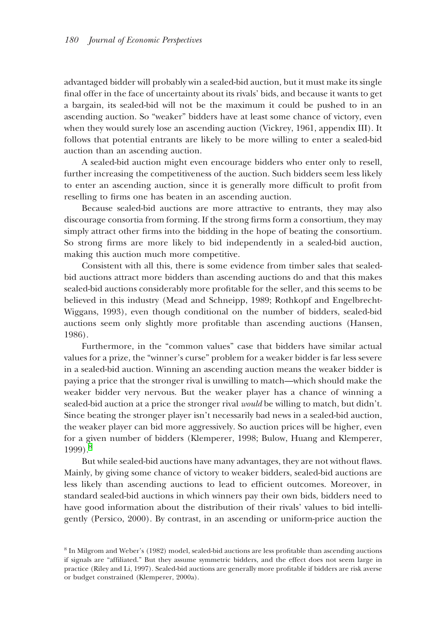advantaged bidder will probably win a sealed-bid auction, but it must make its single final offer in the face of uncertainty about its rivals' bids, and because it wants to get a bargain, its sealed-bid will not be the maximum it could be pushed to in an ascending auction. So "weaker" bidders have at least some chance of victory, even when they would surely lose an ascending auction (Vickrey, 1961, appendix III). It follows that potential entrants are likely to be more willing to enter a sealed-bid auction than an ascending auction.

A sealed-bid auction might even encourage bidders who enter only to resell, further increasing the competitiveness of the auction. Such bidders seem less likely to enter an ascending auction, since it is generally more difficult to profit from reselling to firms one has beaten in an ascending auction.

Because sealed-bid auctions are more attractive to entrants, they may also discourage consortia from forming. If the strong firms form a consortium, they may simply attract other firms into the bidding in the hope of beating the consortium. So strong firms are more likely to bid independently in a sealed-bid auction, making this auction much more competitive.

Consistent with all this, there is some evidence from timber sales that sealedbid auctions attract more bidders than ascending auctions do and that this makes sealed-bid auctions considerably more profitable for the seller, and this seems to be believed in this industry (Mead and Schneipp, 1989; Rothkopf and Engelbrecht-Wiggans, 1993), even though conditional on the number of bidders, sealed-bid auctions seem only slightly more profitable than ascending auctions (Hansen, 1986).

Furthermore, in the "common values" case that bidders have similar actual values for a prize, the "winner's curse" problem for a weaker bidder is far less severe in a sealed-bid auction. Winning an ascending auction means the weaker bidder is paying a price that the stronger rival is unwilling to match—which should make the weaker bidder very nervous. But the weaker player has a chance of winning a sealed-bid auction at a price the stronger rival *would* be willing to match, but didn't. Since beating the stronger player isn't necessarily bad news in a sealed-bid auction, the weaker player can bid more aggressively. So auction prices will be higher, even for a given number of bidders (Klemperer, 1998; Bulow, Huang and Klemperer, 1999).8

But while sealed-bid auctions have many advantages, they are not without flaws. Mainly, by giving some chance of victory to weaker bidders, sealed-bid auctions are less likely than ascending auctions to lead to efficient outcomes. Moreover, in standard sealed-bid auctions in which winners pay their own bids, bidders need to have good information about the distribution of their rivals' values to bid intelligently (Persico, 2000). By contrast, in an ascending or uniform-price auction the

<sup>8</sup> In Milgrom and Weber's (1982) model, sealed-bid auctions are less profitable than ascending auctions if signals are "affiliated." But they assume symmetric bidders, and the effect does not seem large in practice (Riley and Li, 1997). Sealed-bid auctions are generally more profitable if bidders are risk averse or budget constrained (Klemperer, 2000a).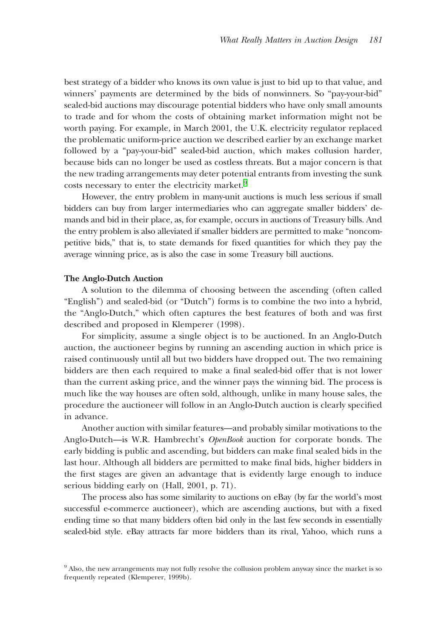best strategy of a bidder who knows its own value is just to bid up to that value, and winners' payments are determined by the bids of nonwinners. So "pay-your-bid" sealed-bid auctions may discourage potential bidders who have only small amounts to trade and for whom the costs of obtaining market information might not be worth paying. For example, in March 2001, the U.K. electricity regulator replaced the problematic uniform-price auction we described earlier by an exchange market followed by a "pay-your-bid" sealed-bid auction, which makes collusion harder, because bids can no longer be used as costless threats. But a major concern is that the new trading arrangements may deter potential entrants from investing the sunk costs necessary to enter the electricity market.<sup>9</sup>

However, the entry problem in many-unit auctions is much less serious if small bidders can buy from larger intermediaries who can aggregate smaller bidders' demands and bid in their place, as, for example, occurs in auctions of Treasury bills. And the entry problem is also alleviated if smaller bidders are permitted to make "noncompetitive bids," that is, to state demands for fixed quantities for which they pay the average winning price, as is also the case in some Treasury bill auctions.

#### **The Anglo-Dutch Auction**

A solution to the dilemma of choosing between the ascending (often called "English") and sealed-bid (or "Dutch") forms is to combine the two into a hybrid, the "Anglo-Dutch," which often captures the best features of both and was first described and proposed in Klemperer (1998).

For simplicity, assume a single object is to be auctioned. In an Anglo-Dutch auction, the auctioneer begins by running an ascending auction in which price is raised continuously until all but two bidders have dropped out. The two remaining bidders are then each required to make a final sealed-bid offer that is not lower than the current asking price, and the winner pays the winning bid. The process is much like the way houses are often sold, although, unlike in many house sales, the procedure the auctioneer will follow in an Anglo-Dutch auction is clearly specified in advance.

Another auction with similar features—and probably similar motivations to the Anglo-Dutch—is W.R. Hambrecht's *OpenBook* auction for corporate bonds. The early bidding is public and ascending, but bidders can make final sealed bids in the last hour. Although all bidders are permitted to make final bids, higher bidders in the first stages are given an advantage that is evidently large enough to induce serious bidding early on (Hall, 2001, p. 71).

The process also has some similarity to auctions on eBay (by far the world's most successful e-commerce auctioneer), which are ascending auctions, but with a fixed ending time so that many bidders often bid only in the last few seconds in essentially sealed-bid style. eBay attracts far more bidders than its rival, Yahoo, which runs a

<sup>9</sup> Also, the new arrangements may not fully resolve the collusion problem anyway since the market is so frequently repeated (Klemperer, 1999b).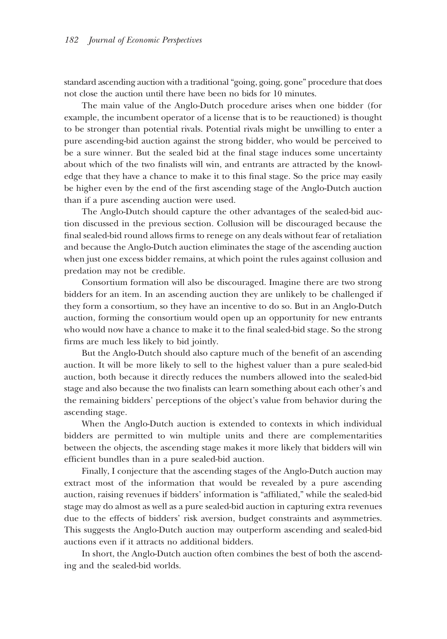standard ascending auction with a traditional "going, going, gone" procedure that does not close the auction until there have been no bids for 10 minutes.

The main value of the Anglo-Dutch procedure arises when one bidder (for example, the incumbent operator of a license that is to be reauctioned) is thought to be stronger than potential rivals. Potential rivals might be unwilling to enter a pure ascending-bid auction against the strong bidder, who would be perceived to be a sure winner. But the sealed bid at the final stage induces some uncertainty about which of the two finalists will win, and entrants are attracted by the knowledge that they have a chance to make it to this final stage. So the price may easily be higher even by the end of the first ascending stage of the Anglo-Dutch auction than if a pure ascending auction were used.

The Anglo-Dutch should capture the other advantages of the sealed-bid auction discussed in the previous section. Collusion will be discouraged because the final sealed-bid round allows firms to renege on any deals without fear of retaliation and because the Anglo-Dutch auction eliminates the stage of the ascending auction when just one excess bidder remains, at which point the rules against collusion and predation may not be credible.

Consortium formation will also be discouraged. Imagine there are two strong bidders for an item. In an ascending auction they are unlikely to be challenged if they form a consortium, so they have an incentive to do so. But in an Anglo-Dutch auction, forming the consortium would open up an opportunity for new entrants who would now have a chance to make it to the final sealed-bid stage. So the strong firms are much less likely to bid jointly.

But the Anglo-Dutch should also capture much of the benefit of an ascending auction. It will be more likely to sell to the highest valuer than a pure sealed-bid auction, both because it directly reduces the numbers allowed into the sealed-bid stage and also because the two finalists can learn something about each other's and the remaining bidders' perceptions of the object's value from behavior during the ascending stage.

When the Anglo-Dutch auction is extended to contexts in which individual bidders are permitted to win multiple units and there are complementarities between the objects, the ascending stage makes it more likely that bidders will win efficient bundles than in a pure sealed-bid auction.

Finally, I conjecture that the ascending stages of the Anglo-Dutch auction may extract most of the information that would be revealed by a pure ascending auction, raising revenues if bidders' information is "affiliated," while the sealed-bid stage may do almost as well as a pure sealed-bid auction in capturing extra revenues due to the effects of bidders' risk aversion, budget constraints and asymmetries. This suggests the Anglo-Dutch auction may outperform ascending and sealed-bid auctions even if it attracts no additional bidders.

In short, the Anglo-Dutch auction often combines the best of both the ascending and the sealed-bid worlds.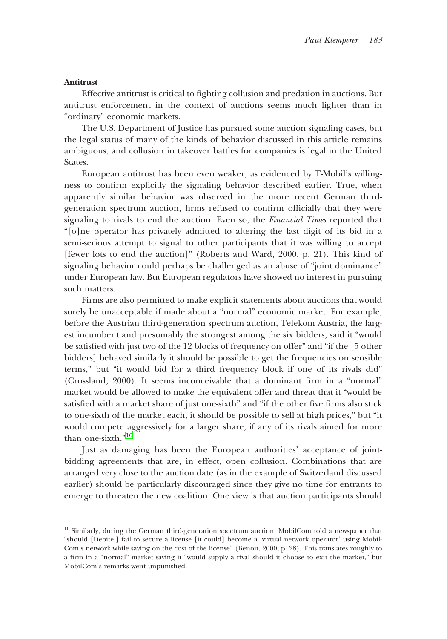#### **Antitrust**

Effective antitrust is critical to fighting collusion and predation in auctions. But antitrust enforcement in the context of auctions seems much lighter than in "ordinary" economic markets.

The U.S. Department of Justice has pursued some auction signaling cases, but the legal status of many of the kinds of behavior discussed in this article remains ambiguous, and collusion in takeover battles for companies is legal in the United States.

European antitrust has been even weaker, as evidenced by T-Mobil's willingness to confirm explicitly the signaling behavior described earlier. True, when apparently similar behavior was observed in the more recent German thirdgeneration spectrum auction, firms refused to confirm officially that they were signaling to rivals to end the auction. Even so, the *Financial Times* reported that "[o]ne operator has privately admitted to altering the last digit of its bid in a semi-serious attempt to signal to other participants that it was willing to accept [fewer lots to end the auction]" (Roberts and Ward, 2000, p. 21). This kind of signaling behavior could perhaps be challenged as an abuse of "joint dominance" under European law. But European regulators have showed no interest in pursuing such matters.

Firms are also permitted to make explicit statements about auctions that would surely be unacceptable if made about a "normal" economic market. For example, before the Austrian third-generation spectrum auction, Telekom Austria, the largest incumbent and presumably the strongest among the six bidders, said it "would be satisfied with just two of the 12 blocks of frequency on offer" and "if the [5 other bidders] behaved similarly it should be possible to get the frequencies on sensible terms," but "it would bid for a third frequency block if one of its rivals did" (Crossland, 2000). It seems inconceivable that a dominant firm in a "normal" market would be allowed to make the equivalent offer and threat that it "would be satisfied with a market share of just one-sixth" and "if the other five firms also stick to one-sixth of the market each, it should be possible to sell at high prices," but "it would compete aggressively for a larger share, if any of its rivals aimed for more than one-sixth." 10

Just as damaging has been the European authorities' acceptance of jointbidding agreements that are, in effect, open collusion. Combinations that are arranged very close to the auction date (as in the example of Switzerland discussed earlier) should be particularly discouraged since they give no time for entrants to emerge to threaten the new coalition. One view is that auction participants should

 $10$  Similarly, during the German third-generation spectrum auction, MobilCom told a newspaper that "should [Debitel] fail to secure a license [it could] become a 'virtual network operator' using Mobil-Com's network while saving on the cost of the license" (Benoit, 2000, p. 28). This translates roughly to a firm in a "normal" market saying it "would supply a rival should it choose to exit the market," but MobilCom's remarks went unpunished.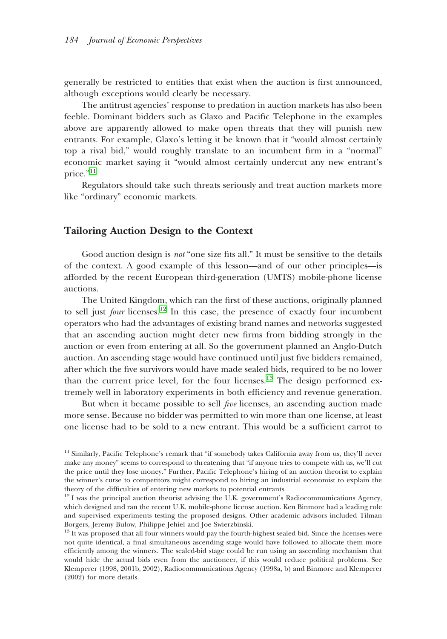generally be restricted to entities that exist when the auction is first announced, although exceptions would clearly be necessary.

The antitrust agencies' response to predation in auction markets has also been feeble. Dominant bidders such as Glaxo and Pacific Telephone in the examples above are apparently allowed to make open threats that they will punish new entrants. For example, Glaxo's letting it be known that it "would almost certainly top a rival bid," would roughly translate to an incumbent firm in a "normal" economic market saying it "would almost certainly undercut any new entrant's price."<sup>11</sup>

Regulators should take such threats seriously and treat auction markets more like "ordinary" economic markets.

# **Tailoring Auction Design to the Context**

Good auction design is *not* "one size fits all." It must be sensitive to the details of the context. A good example of this lesson—and of our other principles—is afforded by the recent European third-generation (UMTS) mobile-phone license auctions.

The United Kingdom, which ran the first of these auctions, originally planned to sell just *four* licenses.<sup>12</sup> In this case, the presence of exactly four incumbent operators who had the advantages of existing brand names and networks suggested that an ascending auction might deter new firms from bidding strongly in the auction or even from entering at all. So the government planned an Anglo-Dutch auction. An ascending stage would have continued until just five bidders remained, after which the five survivors would have made sealed bids, required to be no lower than the current price level, for the four licenses.<sup>13</sup> The design performed extremely well in laboratory experiments in both efficiency and revenue generation.

But when it became possible to sell *five* licenses, an ascending auction made more sense. Because no bidder was permitted to win more than one license, at least one license had to be sold to a new entrant. This would be a sufficient carrot to

<sup>13</sup> It was proposed that all four winners would pay the fourth-highest sealed bid. Since the licenses were not quite identical, a final simultaneous ascending stage would have followed to allocate them more efficiently among the winners. The sealed-bid stage could be run using an ascending mechanism that would hide the actual bids even from the auctioneer, if this would reduce political problems. See Klemperer (1998, 2001b, 2002), Radiocommunications Agency (1998a, b) and Binmore and Klemperer (2002) for more details.

 $11$  Similarly, Pacific Telephone's remark that "if somebody takes California away from us, they'll never make any money" seems to correspond to threatening that "if anyone tries to compete with us, we'll cut the price until they lose money." Further, Pacific Telephone's hiring of an auction theorist to explain the winner's curse to competitors might correspond to hiring an industrial economist to explain the theory of the difficulties of entering new markets to potential entrants.

<sup>&</sup>lt;sup>12</sup> I was the principal auction theorist advising the U.K. government's Radiocommunications Agency, which designed and ran the recent U.K. mobile-phone license auction. Ken Binmore had a leading role and supervised experiments testing the proposed designs. Other academic advisors included Tilman Borgers, Jeremy Bulow, Philippe Jehiel and Joe Swierzbinski.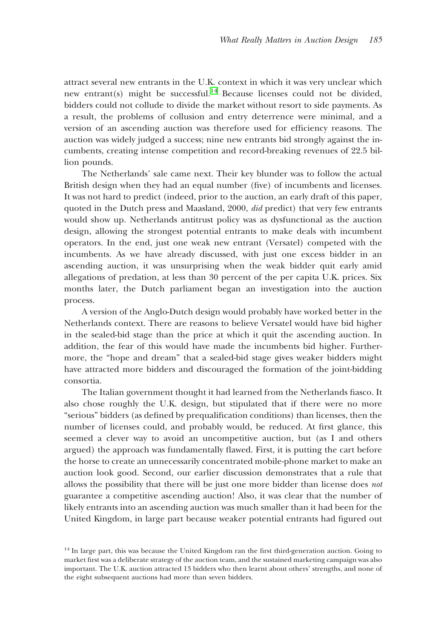attract several new entrants in the U.K. context in which it was very unclear which new entrant(s) might be successful.<sup>14</sup> Because licenses could not be divided, bidders could not collude to divide the market without resort to side payments. As a result, the problems of collusion and entry deterrence were minimal, and a version of an ascending auction was therefore used for efficiency reasons. The auction was widely judged a success; nine new entrants bid strongly against the incumbents, creating intense competition and record-breaking revenues of 22.5 billion pounds.

The Netherlands' sale came next. Their key blunder was to follow the actual British design when they had an equal number (five) of incumbents and licenses. It was not hard to predict (indeed, prior to the auction, an early draft of this paper, quoted in the Dutch press and Maasland, 2000, *did* predict) that very few entrants would show up. Netherlands antitrust policy was as dysfunctional as the auction design, allowing the strongest potential entrants to make deals with incumbent operators. In the end, just one weak new entrant (Versatel) competed with the incumbents. As we have already discussed, with just one excess bidder in an ascending auction, it was unsurprising when the weak bidder quit early amid allegations of predation, at less than 30 percent of the per capita U.K. prices. Six months later, the Dutch parliament began an investigation into the auction process.

A version of the Anglo-Dutch design would probably have worked better in the Netherlands context. There are reasons to believe Versatel would have bid higher in the sealed-bid stage than the price at which it quit the ascending auction. In addition, the fear of this would have made the incumbents bid higher. Furthermore, the "hope and dream" that a sealed-bid stage gives weaker bidders might have attracted more bidders and discouraged the formation of the joint-bidding consortia.

The Italian government thought it had learned from the Netherlands fiasco. It also chose roughly the U.K. design, but stipulated that if there were no more "serious" bidders (as defined by prequalification conditions) than licenses, then the number of licenses could, and probably would, be reduced. At first glance, this seemed a clever way to avoid an uncompetitive auction, but (as I and others argued) the approach was fundamentally flawed. First, it is putting the cart before the horse to create an unnecessarily concentrated mobile-phone market to make an auction look good. Second, our earlier discussion demonstrates that a rule that allows the possibility that there will be just one more bidder than license does *not* guarantee a competitive ascending auction! Also, it was clear that the number of likely entrants into an ascending auction was much smaller than it had been for the United Kingdom, in large part because weaker potential entrants had figured out

<sup>&</sup>lt;sup>14</sup> In large part, this was because the United Kingdom ran the first third-generation auction. Going to market first was a deliberate strategy of the auction team, and the sustained marketing campaign was also important. The U.K. auction attracted 13 bidders who then learnt about others' strengths, and none of the eight subsequent auctions had more than seven bidders.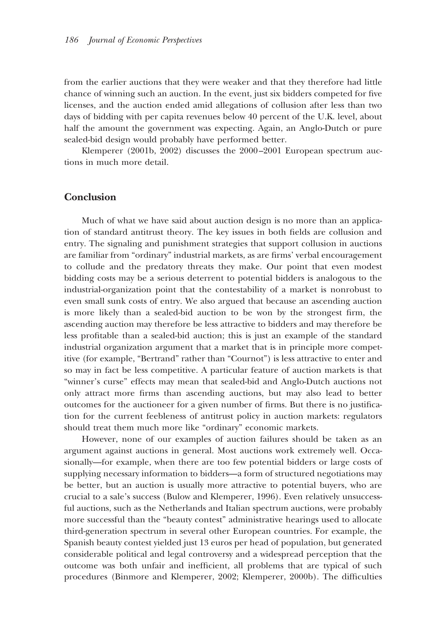from the earlier auctions that they were weaker and that they therefore had little chance of winning such an auction. In the event, just six bidders competed for five licenses, and the auction ended amid allegations of collusion after less than two days of bidding with per capita revenues below 40 percent of the U.K. level, about half the amount the government was expecting. Again, an Anglo-Dutch or pure sealed-bid design would probably have performed better.

Klemperer (2001b, 2002) discusses the 2000–2001 European spectrum auctions in much more detail.

# **Conclusion**

Much of what we have said about auction design is no more than an application of standard antitrust theory. The key issues in both fields are collusion and entry. The signaling and punishment strategies that support collusion in auctions are familiar from "ordinary" industrial markets, as are firms' verbal encouragement to collude and the predatory threats they make. Our point that even modest bidding costs may be a serious deterrent to potential bidders is analogous to the industrial-organization point that the contestability of a market is nonrobust to even small sunk costs of entry. We also argued that because an ascending auction is more likely than a sealed-bid auction to be won by the strongest firm, the ascending auction may therefore be less attractive to bidders and may therefore be less profitable than a sealed-bid auction; this is just an example of the standard industrial organization argument that a market that is in principle more competitive (for example, "Bertrand" rather than "Cournot") is less attractive to enter and so may in fact be less competitive. A particular feature of auction markets is that "winner's curse" effects may mean that sealed-bid and Anglo-Dutch auctions not only attract more firms than ascending auctions, but may also lead to better outcomes for the auctioneer for a given number of firms. But there is no justification for the current feebleness of antitrust policy in auction markets: regulators should treat them much more like "ordinary" economic markets.

However, none of our examples of auction failures should be taken as an argument against auctions in general. Most auctions work extremely well. Occasionally—for example, when there are too few potential bidders or large costs of supplying necessary information to bidders—a form of structured negotiations may be better, but an auction is usually more attractive to potential buyers, who are crucial to a sale's success (Bulow and Klemperer, 1996). Even relatively unsuccessful auctions, such as the Netherlands and Italian spectrum auctions, were probably more successful than the "beauty contest" administrative hearings used to allocate third-generation spectrum in several other European countries. For example, the Spanish beauty contest yielded just 13 euros per head of population, but generated considerable political and legal controversy and a widespread perception that the outcome was both unfair and inefficient, all problems that are typical of such procedures (Binmore and Klemperer, 2002; Klemperer, 2000b). The difficulties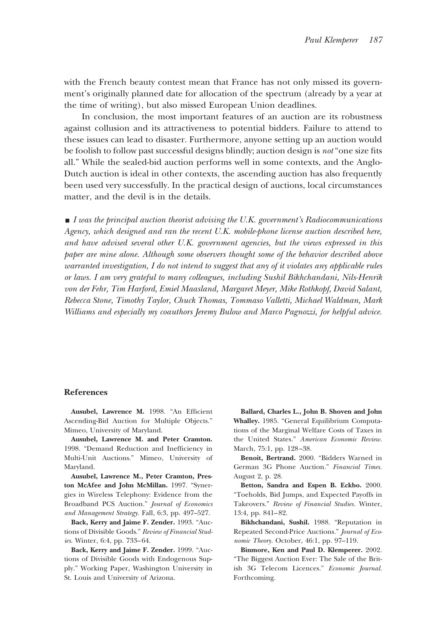with the French beauty contest mean that France has not only missed its government's originally planned date for allocation of the spectrum (already by a year at the time of writing), but also missed European Union deadlines.

In conclusion, the most important features of an auction are its robustness against collusion and its attractiveness to potential bidders. Failure to attend to these issues can lead to disaster. Furthermore, anyone setting up an auction would be foolish to follow past successful designs blindly; auction design is *not* "one size fits all." While the sealed-bid auction performs well in some contexts, and the Anglo-Dutch auction is ideal in other contexts, the ascending auction has also frequently been used very successfully. In the practical design of auctions, local circumstances matter, and the devil is in the details.

 $\blacksquare$  *I was the principal auction theorist advising the U.K. government's Radiocommunications Agency, which designed and ran the recent U.K. mobile-phone license auction described here, and have advised several other U.K. government agencies, but the views expressed in this paper are mine alone. Although some observers thought some of the behavior described above warranted investigation, I do not intend to suggest that any of it violates any applicable rules or laws. I am very grateful to many colleagues, including Sushil Bikhchandani, Nils-Henrik von der Fehr, Tim Harford, Emiel Maasland, Margaret Meyer, Mike Rothkopf, David Salant, Rebecca Stone, Timothy Taylor, Chuck Thomas, Tommaso Valletti, Michael Waldman, Mark Williams and especially my coauthors Jeremy Bulow and Marco Pagnozzi, for helpful advice.*

#### **References**

**Ausubel, Lawrence M.** 1998. "An Efficient Ascending-Bid Auction for Multiple Objects." Mimeo, University of Maryland.

**Ausubel, Lawrence M. and Peter Cramton.** 1998. "Demand Reduction and Inefficiency in Multi-Unit Auctions." Mimeo, University of Maryland.

**Ausubel, Lawrence M., Peter Cramton, Preston McAfee and John McMillan.** 1997. "Synergies in Wireless Telephony: Evidence from the Broadband PCS Auction." *Journal of Economics and Management Strategy.* Fall, 6:3, pp. 497–527.

**Back, Kerry and Jaime F. Zender.** 1993. "Auctions of Divisible Goods." *Review of Financial Studies*. Winter, 6:4, pp. 733–64.

**Back, Kerry and Jaime F. Zender.** 1999. "Auctions of Divisible Goods with Endogenous Supply." Working Paper, Washington University in St. Louis and University of Arizona.

**Ballard, Charles L., John B. Shoven and John Whalley.** 1985. "General Equilibrium Computations of the Marginal Welfare Costs of Taxes in the United States." *American Economic Review.* March, 75:1, pp. 128–38.

**Benoit, Bertrand.** 2000. "Bidders Warned in German 3G Phone Auction." *Financial Times.* August 2, p. 28.

**Betton, Sandra and Espen B. Eckbo.** 2000. "Toeholds, Bid Jumps, and Expected Payoffs in Takeovers." *Review of Financial Studies.* Winter, 13:4, pp. 841–82.

**Bikhchandani, Sushil.** 1988. "Reputation in Repeated Second-Price Auctions." *Journal of Economic Theory.* October, 46:1, pp. 97–119.

**Binmore, Ken and Paul D. Klemperer.** 2002. "The Biggest Auction Ever: The Sale of the British 3G Telecom Licences." *Economic Journal.* Forthcoming.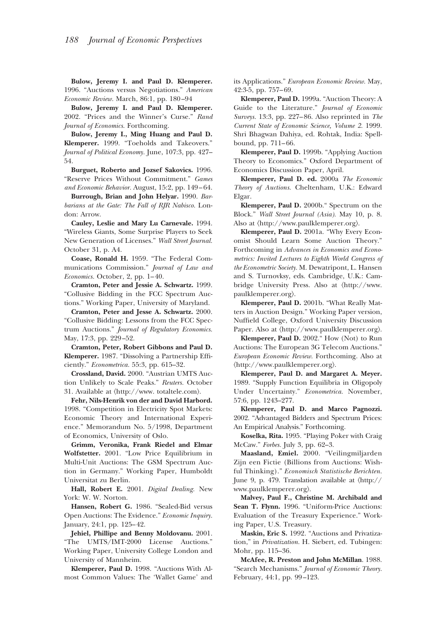**Bulow, Jeremy I. and Paul D. Klemperer.** 1996. "Auctions versus Negotiations." *American Economic Review.* March, 86:1, pp. 180–94

**Bulow, Jeremy I. and Paul D. Klemperer.** 2002. "Prices and the Winner's Curse." *Rand Journal of Economics.* Forthcoming.

**Bulow, Jeremy I., Ming Huang and Paul D. Klemperer.** 1999. "Toeholds and Takeovers." *Journal of Political Economy.* June, 107:3, pp. 427– 54.

**Burguet, Roberto and Jozsef Sakovics.** 1996. "Reserve Prices Without Commitment." *Games and Economic Behavior.* August, 15:2, pp. 149–64.

**Burrough, Brian and John Helyar.** 1990. *Barbarians at the Gate: The Fall of RJR Nabisco.* London: Arrow.

**Cauley, Leslie and Mary Lu Carnevale.** 1994. "Wireless Giants, Some Surprise Players to Seek New Generation of Licenses." *Wall Street Journal.* October 31, p. A4.

**Coase, Ronald H.** 1959. "The Federal Communications Commission." *Journal of Law and Economics.* October, 2, pp. 1–40.

**Cramton, Peter and Jessie A. Schwartz.** 1999. "Collusive Bidding in the FCC Spectrum Auctions." Working Paper, University of Maryland.

**Cramton, Peter and Jesse A. Schwartz.** 2000. "Collusive Bidding: Lessons from the FCC Spectrum Auctions." *Journal of Regulatory Economics.* May, 17:3, pp. 229–52.

**Cramton, Peter, Robert Gibbons and Paul D. Klemperer.** 1987. "Dissolving a Partnership Efficiently." *Econometrica.* 55:3, pp. 615–32.

**Crossland, David.** 2000. "Austrian UMTS Auction Unlikely to Scale Peaks." *Reuters.* October 31. Available at  $\langle$ http://www. totaltele.com $\rangle$ .

**Fehr, Nils-Henrik von der and David Harbord.** 1998. "Competition in Electricity Spot Markets: Economic Theory and International Experience." Memorandum No. 5/1998, Department of Economics, University of Oslo.

**Grimm, Veronika, Frank Riedel and Elmar Wolfstetter.** 2001. "Low Price Equilibrium in Multi-Unit Auctions: The GSM Spectrum Auction in Germany." Working Paper, Humboldt Universitat zu Berlin.

**Hall, Robert E.** 2001. *Digital Dealing.* New York: W. W. Norton.

**Hansen, Robert G.** 1986. "Sealed-Bid versus Open Auctions: The Evidence." *Economic Inquiry.* January, 24:1, pp. 125–42.

**Jehiel, Phillipe and Benny Moldovanu.** 2001. "The UMTS/IMT-2000 License Auctions." Working Paper, University College London and University of Mannheim.

**Klemperer, Paul D.** 1998. "Auctions With Almost Common Values: The 'Wallet Game' and its Applications." *European Economic Review.* May, 42:3-5, pp. 757–69.

**Klemperer, Paul D.** 1999a. "Auction Theory: A Guide to the Literature." *Journal of Economic Surveys.* 13:3, pp. 227–86. Also reprinted in *The Current State of Economic Science, Volume 2.* 1999. Shri Bhagwan Dahiya, ed. Rohtak, India: Spellbound, pp. 711–66.

**Klemperer, Paul D.** 1999b. "Applying Auction Theory to Economics." Oxford Department of Economics Discussion Paper, April.

**Klemperer, Paul D. ed.** 2000a *The Economic Theory of Auctions.* Cheltenham, U.K.: Edward Elgar.

**Klemperer, Paul D.** 2000b." Spectrum on the Block." *Wall Street Journal (Asia).* May 10, p. 8. Also at  $\langle$ http://www.paulklemperer.org $\rangle$ .

**Klemperer, Paul D.** 2001a. "Why Every Economist Should Learn Some Auction Theory." Forthcoming in *Advances in Economics and Econometrics: Invited Lectures to Eighth World Congress of the Econometric Society.* M. Dewatripont, L. Hansen and S. Turnovksy, eds. Cambridge, U.K.: Cambridge University Press. Also at  $\langle \text{http://www.} \rangle$ paulklemperer.org).

**Klemperer, Paul D.** 2001b. "What Really Matters in Auction Design." Working Paper version, Nuffield College, Oxford University Discussion Paper. Also at  $\langle$ http://www.paulklemperer.org $\rangle$ .

**Klemperer, Paul D.** 2002." How (Not) to Run Auctions: The European 3G Telecom Auctions." *European Economic Review.* Forthcoming. Also at http://www.paulklemperer.org-.

**Klemperer, Paul D. and Margaret A. Meyer.** 1989. "Supply Function Equilibria in Oligopoly Under Uncertainty." *Econometrica.* November, 57:6, pp. 1243–277.

**Klemperer, Paul D. and Marco Pagnozzi.** 2002. "Advantaged Bidders and Spectrum Prices: An Empirical Analysis." Forthcoming.

**Koselka, Rita.** 1995. "Playing Poker with Craig McCaw." *Forbes.* July 3, pp. 62–3.

**Maasland, Emiel.** 2000. "Veilingmiljarden Zijn een Fictie (Billions from Auctions: Wishful Thinking)." *Economisch Statistische Berichten.* June 9, p. 479. Translation available at  $\langle \text{http://}$ www.paulklemperer.org).

**Malvey, Paul F., Christine M. Archibald and Sean T. Flynn.** 1996. "Uniform-Price Auctions: Evaluation of the Treasury Experience." Working Paper, U.S. Treasury.

**Maskin, Eric S.** 1992. "Auctions and Privatization," in *Privatization.* H. Siebert, ed. Tubingen: Mohr, pp. 115–36.

**McAfee, R. Preston and John McMillan**. 1988. "Search Mechanisms." *Journal of Economic Theory.* February, 44:1, pp. 99–123.